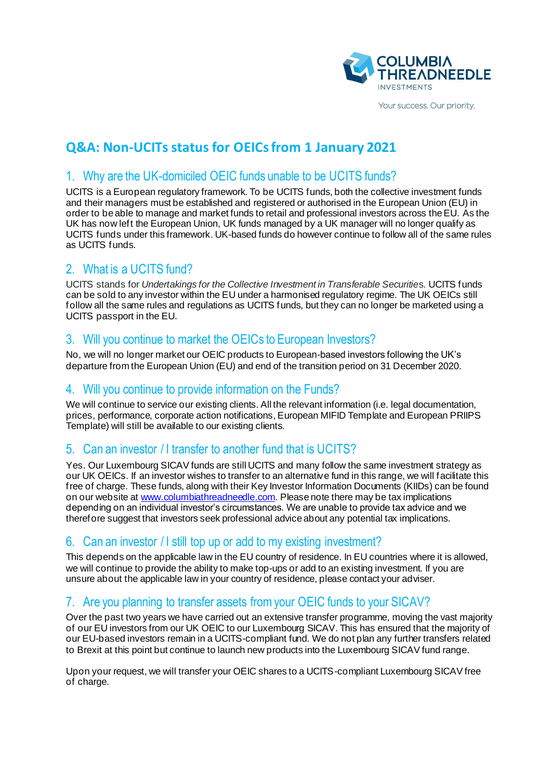

Your success. Our priority.

# **Q&A: Non-UCITs status for OEICs from 1 January 2021**

### 1. Why are the UK-domiciled OEIC funds unable to be UCITS funds?

UCITS is a European regulatory framework. To be UCITS funds, both the collective investment funds and their managers must be established and registered or authorised in the European Union (EU) in order to be able to manage and market funds to retail and professional investors across the EU. As the UK has now left the European Union, UK funds managed by a UK manager will no longer qualify as UCITS funds under this framework. UK-based funds do however continue to follow all of the same rules as UCITS funds.

# 2. What is a UCITS fund?

UCITS stands for *Undertakings for the Collective Investment in Transferable Securitie*s. UCITS funds can be sold to any investor within the EU under a harmonised regulatory regime. The UK OEICs still follow all the same rules and regulations as UCITS funds, but they can no longer be marketed using a UCITS passport in the EU.

### 3. Will you continue to market the OEICs to European Investors?

No, we will no longer market our OEIC products to European-based investors following the UK's departure from the European Union (EU) and end of the transition period on 31 December 2020.

#### 4. Will you continue to provide information on the Funds?

We will continue to service our existing clients. All the relevant information (i.e. legal documentation, prices, performance, corporate action notifications, European MIFID Template and European PRIIPS Template) will still be available to our existing clients.

# 5. Can an investor / I transfer to another fund that is UCITS?

Yes. Our Luxembourg SICAV funds are still UCITS and many follow the same investment strategy as our UK OEICs. If an investor wishes to transfer to an alternative fund in this range, we will facilitate this free of charge. These funds, along with their Key Investor Information Documents (KIIDs) can be found on our website a[t www.columbiathreadneedle.com](http://www.columbiathreadneedle.com/). Please note there may be tax implications depending on an individual investor's circumstances. We are unable to provide tax advice and we therefore suggest that investors seek professional advice about any potential tax implications.

#### 6. Can an investor / I still top up or add to my existing investment?

This depends on the applicable law in the EU country of residence. In EU countries where it is allowed, we will continue to provide the ability to make top-ups or add to an existing investment. If you are unsure about the applicable law in your country of residence, please contact your adviser.

### 7. Are you planning to transfer assets from your OEIC funds to your SICAV?

Over the past two years we have carried out an extensive transfer programme, moving the vast majority of our EU investors from our UK OEIC to our Luxembourg SICAV. This has ensured that the majority of our EU-based investors remain in a UCITS-compliant fund. We do not plan any further transfers related to Brexit at this point but continue to launch new products into the Luxembourg SICAV fund range.

Upon your request, we will transfer your OEIC shares to a UCITS-compliant Luxembourg SICAV free of charge.